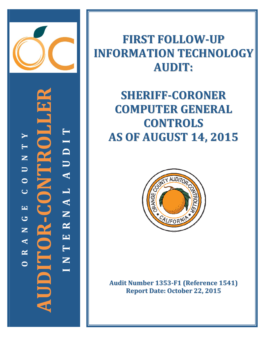

 $\blacktriangleright$ AUDI  $\overline{\phantom{a}}$ **Santa Pa** Z  $\begin{array}{c}\n\hline\n\end{array}$  $\bullet$  $\mathbf{C}$   $\mathbf{R}$  =  $\mathbf{C}$   $\mathbf{O}$   $\mathbf{N}$  $\overline{C}$ NAL 囯  $\bullet$  $\mathbf{R}$  $\mathbf{Z}$  $\mathbf{\Xi}$  $\blacktriangleleft$ H  $\mathbf{\underline{\underline{\alpha}}}$ Z **HICID**  $\bullet$ 

# **FIRST FOLLOW-UP INFORMATION TECHNOLOGY AUDIT:**

# **SHERIFF-CORONER COMPUTER GENERAL CONTROLS AS OF AUGUST 14, 2015**



**Audit Number 1353-F1 (Reference 1541) Report Date: October 22, 2015**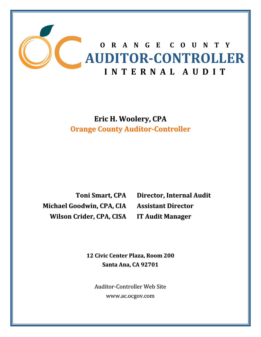

**Eric H. Woolery, CPA Orange County Auditor‐Controller**

**Michael Goodwin, CPA, CIA Assistant Director Wilson Crider, CPA, CISA IT Audit Manager**

**Toni Smart, CPA Director, Internal Audit**

**12 Civic Center Plaza, Room 200 Santa Ana, CA 92701**

Auditor‐Controller Web Site www.ac.ocgov.com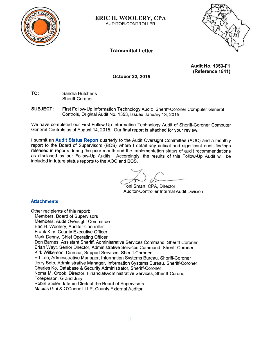

**ERIC H. WOOLERY, CPA** AUDITOR-CONTROLLER

## **Transmittal Letter**



**Audit No. 1353-F1** (Reference 1541)

October 22, 2015

TO: Sandra Hutchens Sheriff-Coroner

**SUBJECT:** First Follow-Up Information Technology Audit: Sheriff-Coroner Computer General Controls, Original Audit No. 1353, Issued January 13, 2015

We have completed our First Follow-Up Information Technology Audit of Sheriff-Coroner Computer General Controls as of August 14, 2015. Our final report is attached for your review.

I submit an Audit Status Report quarterly to the Audit Oversight Committee (AOC) and a monthly report to the Board of Supervisors (BOS) where I detail any critical and significant audit findings released in reports during the prior month and the implementation status of audit recommendations as disclosed by our Follow-Up Audits. Accordingly, the results of this Follow-Up Audit will be included in future status reports to the AOC and BOS.

Toni Smart, CPA, Director Auditor-Controller Internal Audit Division

### **Attachments**

Other recipients of this report: Members, Board of Supervisors Members, Audit Oversight Committee Eric H. Woolery, Auditor-Controller Frank Kim, County Executive Officer Mark Denny, Chief Operating Officer Don Barnes, Assistant Sheriff, Administrative Services Command, Sheriff-Coroner Brian Wayt, Senior Director, Administrative Services Command, Sheriff-Coroner Kirk Wilkerson, Director, Support Services, Sheriff-Coroner Ed Lee, Administrative Manager, Information Systems Bureau, Sheriff-Coroner Jerry Soto, Administrative Manager, Information Systems Bureau, Sheriff-Coroner Charles Ko, Database & Security Administrator, Sheriff-Coroner Noma M. Crook, Director, Financial/Administrative Services, Sheriff-Coroner Foreperson, Grand Jury Robin Stieler, Interim Clerk of the Board of Supervisors Macias Gini & O'Connell LLP, County External Auditor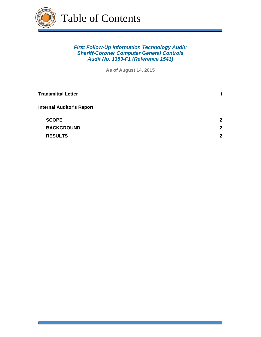

Table of Contents

## *First Follow-Up Information Technology Audit: Sheriff-Coroner Computer General Controls Audit No. 1353-F1 (Reference 1541)*

**As of August 14, 2015**

| <b>Transmittal Letter</b>        | i.           |
|----------------------------------|--------------|
| <b>Internal Auditor's Report</b> |              |
| <b>SCOPE</b>                     | $\mathbf{2}$ |
| <b>BACKGROUND</b>                | $\mathbf{2}$ |
| <b>RESULTS</b>                   | $\mathbf{2}$ |
|                                  |              |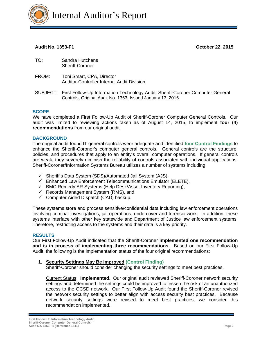

### **Audit No. 1353-F1 October 22, 2015**

- TO: Sandra Hutchens Sheriff-Coroner
- FROM: Toni Smart, CPA, Director Auditor-Controller Internal Audit Division
- SUBJECT: First Follow-Up Information Technology Audit: Sheriff-Coroner Computer General Controls, Original Audit No. 1353, Issued January 13, 2015

#### **SCOPE**

We have completed a First Follow-Up Audit of Sheriff-Coroner Computer General Controls. Our audit was limited to reviewing actions taken as of August 14, 2015, to implement **four (4) recommendations** from our original audit.

#### **BACKGROUND**

The original audit found IT general controls were adequate and identified **four Control Findings** to enhance the Sheriff-Coroner's computer general controls. General controls are the structure, policies, and procedures that apply to an entity's overall computer operations. If general controls are weak, they severely diminish the reliability of controls associated with individual applications. Sheriff-Coroner/Information Systems Bureau utilizes a number of systems including:

- $\checkmark$  Sheriff's Data System (SDS)/Automated Jail System (AJS),
- $\checkmark$  Enhanced Law Enforcement Telecommunications Emulator (ELETE),
- $\checkmark$  BMC Remedy AR Systems (Help Desk/Asset Inventory Reporting),
- $\checkmark$  Records Management System (RMS), and
- $\checkmark$  Computer Aided Dispatch (CAD) backup.

These systems store and process sensitive/confidential data including law enforcement operations involving criminal investigations, jail operations, undercover and forensic work. In addition, these systems interface with other key statewide and Department of Justice law enforcement systems. Therefore, restricting access to the systems and their data is a key priority.

#### **RESULTS**

Our First Follow-Up Audit indicated that the Sheriff-Coroner **implemented one recommendation and is in process of implementing three recommendations**. Based on our First Follow-Up Audit, the following is the implementation status of the four original recommendations:

#### **1. Security Settings May Be Improved (Control Finding)**

Sheriff-Coroner should consider changing the security settings to meet best practices.

Current Status: **Implemented.** Our original audit reviewed Sheriff-Coroner network security settings and determined the settings could be improved to lessen the risk of an unauthorized access to the OCSD network. Our First Follow-Up Audit found the Sheriff-Coroner revised the network security settings to better align with access security best practices. Because network security settings were revised to meet best practices, we consider this recommendation implemented.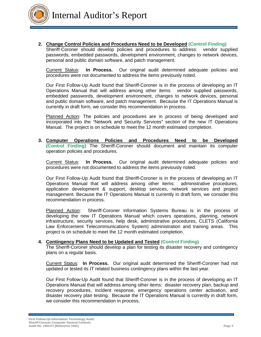

Internal Auditor's Report

#### **2. Change Control Policies and Procedures Need to be Developed (Control Finding)**

Sheriff-Coroner should develop policies and procedures to address: vendor supplied passwords, embedded passwords, development environment, changes to network devices, personal and public domain software, and patch management.

Current Status: **In Process.** Our original audit determined adequate policies and procedures were not documented to address the items previously noted.

Our First Follow-Up Audit found that Sheriff-Coroner is in the process of developing an IT Operations Manual that will address among other items: vendor supplied passwords, embedded passwords, development environment, changes to network devices, personal and public domain software, and patch management. Because the IT Operations Manual is currently in draft form, we consider this recommendation in process.

Planned Action: The policies and procedures are in process of being developed and incorporated into the "Network and Security Services" section of the new IT Operations Manual. The project is on schedule to meet the 12 month estimated completion.

**3. Computer Operations Policies and Procedures Need to be Developed (Control Finding)** The Sheriff-Coroner should document and maintain its computer operation policies and procedures.

Current Status: **In Process.** Our original audit determined adequate policies and procedures were not documented to address the items previously noted.

Our First Follow-Up Audit found that Sheriff-Coroner is in the process of developing an IT Operations Manual that will address among other items: administrative procedures, application development & support, desktop services, network services and project management. Because the IT Operations Manual is currently in draft form, we consider this recommendation in process.

Planned Action: Sheriff-Coroner Information Systems Bureau is in the process of developing the new IT Operations Manual which covers operations, planning, network infrastructure, security services, help desk, administrative procedures, CLETS (California Law Enforcement Telecommunications System) administration and training areas. This project is on schedule to meet the 12 month estimated completion.

#### **4. Contingency Plans Need to be Updated and Tested (Control Finding)**

The Sheriff-Coroner should develop a plan for testing its disaster recovery and contingency plans on a regular basis.

Current Status: **In Process.** Our original audit determined the Sheriff-Coroner had not updated or tested its IT related business contingency plans within the last year.

Our First Follow-Up Audit found that Sheriff-Coroner is in the process of developing an IT Operations Manual that will address among other items: disaster recovery plan, backup and recovery procedures, incident response, emergency operations center activation, and disaster recovery plan testing. Because the IT Operations Manual is currently in draft form, we consider this recommendation in process.